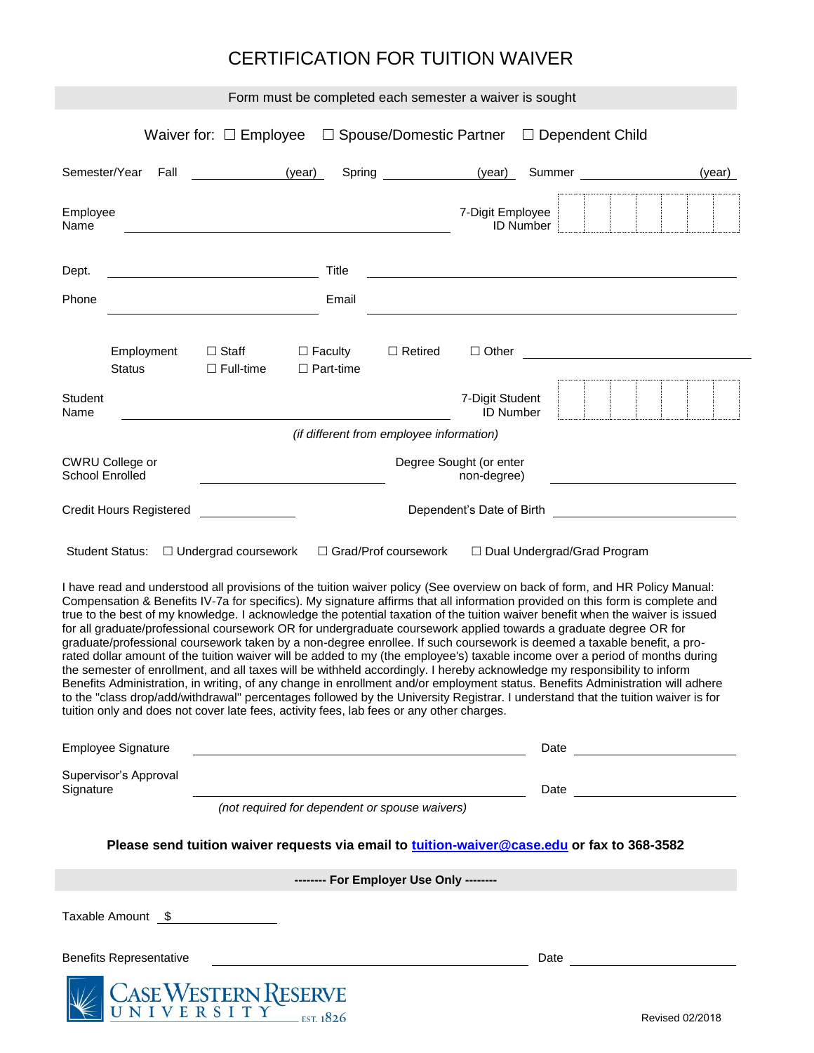## CERTIFICATION FOR TUITION WAIVER

| Form must be completed each semester a waiver is sought                                                                                                                                                                                                                                                                                                                                                                                                                                                                                                                                                                                                                                                                                                                                                                                                                    |                                |                                             |                                    |                |                                        |                                                                                   |                                                                                                                                                                                                                                |  |
|----------------------------------------------------------------------------------------------------------------------------------------------------------------------------------------------------------------------------------------------------------------------------------------------------------------------------------------------------------------------------------------------------------------------------------------------------------------------------------------------------------------------------------------------------------------------------------------------------------------------------------------------------------------------------------------------------------------------------------------------------------------------------------------------------------------------------------------------------------------------------|--------------------------------|---------------------------------------------|------------------------------------|----------------|----------------------------------------|-----------------------------------------------------------------------------------|--------------------------------------------------------------------------------------------------------------------------------------------------------------------------------------------------------------------------------|--|
|                                                                                                                                                                                                                                                                                                                                                                                                                                                                                                                                                                                                                                                                                                                                                                                                                                                                            |                                |                                             |                                    |                |                                        | Waiver for: $\Box$ Employee $\Box$ Spouse/Domestic Partner $\Box$ Dependent Child |                                                                                                                                                                                                                                |  |
| Semester/Year                                                                                                                                                                                                                                                                                                                                                                                                                                                                                                                                                                                                                                                                                                                                                                                                                                                              | Fall                           | (year)                                      |                                    | Spring (year)  |                                        | Summer <b>Summer Summer</b>                                                       | (year)                                                                                                                                                                                                                         |  |
| Employee<br>Name                                                                                                                                                                                                                                                                                                                                                                                                                                                                                                                                                                                                                                                                                                                                                                                                                                                           |                                |                                             |                                    |                | 7-Digit Employee                       | <b>ID Number</b>                                                                  |                                                                                                                                                                                                                                |  |
| Dept.                                                                                                                                                                                                                                                                                                                                                                                                                                                                                                                                                                                                                                                                                                                                                                                                                                                                      |                                |                                             | Title                              |                |                                        |                                                                                   |                                                                                                                                                                                                                                |  |
| Phone                                                                                                                                                                                                                                                                                                                                                                                                                                                                                                                                                                                                                                                                                                                                                                                                                                                                      |                                |                                             | Email                              |                |                                        |                                                                                   |                                                                                                                                                                                                                                |  |
|                                                                                                                                                                                                                                                                                                                                                                                                                                                                                                                                                                                                                                                                                                                                                                                                                                                                            | Employment<br><b>Status</b>    | $\Box$ Staff<br>$\Box$ Full-time            | $\Box$ Faculty<br>$\Box$ Part-time | $\Box$ Retired | $\Box$ Other                           |                                                                                   |                                                                                                                                                                                                                                |  |
| <b>Student</b><br>Name                                                                                                                                                                                                                                                                                                                                                                                                                                                                                                                                                                                                                                                                                                                                                                                                                                                     |                                |                                             |                                    |                | 7-Digit Student<br><b>ID Number</b>    |                                                                                   |                                                                                                                                                                                                                                |  |
| (if different from employee information)                                                                                                                                                                                                                                                                                                                                                                                                                                                                                                                                                                                                                                                                                                                                                                                                                                   |                                |                                             |                                    |                |                                        |                                                                                   |                                                                                                                                                                                                                                |  |
| <b>CWRU College or</b><br><b>School Enrolled</b>                                                                                                                                                                                                                                                                                                                                                                                                                                                                                                                                                                                                                                                                                                                                                                                                                           |                                |                                             |                                    |                | Degree Sought (or enter<br>non-degree) |                                                                                   |                                                                                                                                                                                                                                |  |
|                                                                                                                                                                                                                                                                                                                                                                                                                                                                                                                                                                                                                                                                                                                                                                                                                                                                            | <b>Credit Hours Registered</b> | Dependent's Date of Birth <b>Example 20</b> |                                    |                |                                        |                                                                                   |                                                                                                                                                                                                                                |  |
| □ Grad/Prof coursework<br>Student Status: □ Undergrad coursework<br>□ Dual Undergrad/Grad Program<br>I have read and understood all provisions of the tuition waiver policy (See overview on back of form, and HR Policy Manual:<br>Compensation & Benefits IV-7a for specifics). My signature affirms that all information provided on this form is complete and<br>true to the best of my knowledge. I acknowledge the potential taxation of the tuition waiver benefit when the waiver is issued                                                                                                                                                                                                                                                                                                                                                                        |                                |                                             |                                    |                |                                        |                                                                                   |                                                                                                                                                                                                                                |  |
| for all graduate/professional coursework OR for undergraduate coursework applied towards a graduate degree OR for<br>graduate/professional coursework taken by a non-degree enrollee. If such coursework is deemed a taxable benefit, a pro-<br>rated dollar amount of the tuition waiver will be added to my (the employee's) taxable income over a period of months during<br>the semester of enrollment, and all taxes will be withheld accordingly. I hereby acknowledge my responsibility to inform<br>Benefits Administration, in writing, of any change in enrollment and/or employment status. Benefits Administration will adhere<br>to the "class drop/add/withdrawal" percentages followed by the University Registrar. I understand that the tuition waiver is for<br>tuition only and does not cover late fees, activity fees, lab fees or any other charges. |                                |                                             |                                    |                |                                        |                                                                                   |                                                                                                                                                                                                                                |  |
| <b>Employee Signature</b><br><u> 1989 - Johann Stoff, deutscher Stoffen und der Stoffen und der Stoffen und der Stoffen und der Stoffen und de</u>                                                                                                                                                                                                                                                                                                                                                                                                                                                                                                                                                                                                                                                                                                                         |                                |                                             |                                    |                |                                        |                                                                                   |                                                                                                                                                                                                                                |  |
| Supervisor's Approval<br>Signature                                                                                                                                                                                                                                                                                                                                                                                                                                                                                                                                                                                                                                                                                                                                                                                                                                         |                                |                                             |                                    |                |                                        |                                                                                   |                                                                                                                                                                                                                                |  |
| (not required for dependent or spouse waivers)                                                                                                                                                                                                                                                                                                                                                                                                                                                                                                                                                                                                                                                                                                                                                                                                                             |                                |                                             |                                    |                |                                        |                                                                                   |                                                                                                                                                                                                                                |  |
| Please send tuition waiver requests via email to tuition-waiver@case.edu or fax to 368-3582                                                                                                                                                                                                                                                                                                                                                                                                                                                                                                                                                                                                                                                                                                                                                                                |                                |                                             |                                    |                |                                        |                                                                                   |                                                                                                                                                                                                                                |  |
| -------- For Employer Use Only --------                                                                                                                                                                                                                                                                                                                                                                                                                                                                                                                                                                                                                                                                                                                                                                                                                                    |                                |                                             |                                    |                |                                        |                                                                                   |                                                                                                                                                                                                                                |  |
|                                                                                                                                                                                                                                                                                                                                                                                                                                                                                                                                                                                                                                                                                                                                                                                                                                                                            |                                | Taxable Amount \$                           |                                    |                |                                        |                                                                                   |                                                                                                                                                                                                                                |  |
|                                                                                                                                                                                                                                                                                                                                                                                                                                                                                                                                                                                                                                                                                                                                                                                                                                                                            | <b>Benefits Representative</b> |                                             |                                    |                |                                        |                                                                                   | Date and the state of the state of the state of the state of the state of the state of the state of the state of the state of the state of the state of the state of the state of the state of the state of the state of the s |  |
|                                                                                                                                                                                                                                                                                                                                                                                                                                                                                                                                                                                                                                                                                                                                                                                                                                                                            |                                | <b>CASE WESTERN RESERVE</b>                 |                                    |                |                                        |                                                                                   | Revised 02/2018                                                                                                                                                                                                                |  |